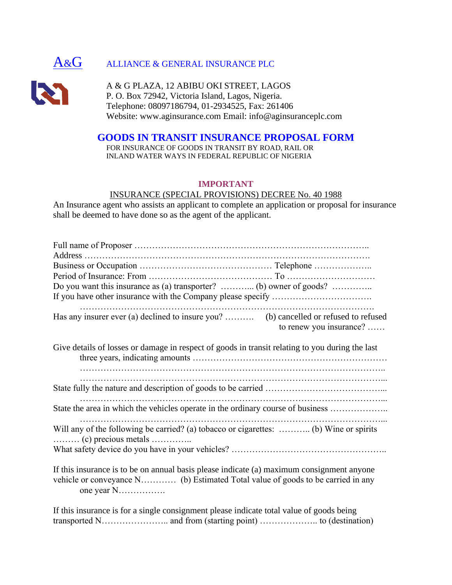

# A&G ALLIANCE & GENERAL INSURANCE PLC



A & G PLAZA, 12 ABIBU OKI STREET, LAGOS P. O. Box 72942, Victoria Island, Lagos, Nigeria. Telephone: 08097186794, 01-2934525, Fax: 261406 Website: www.aginsurance.com Email: info@aginsuranceplc.com

# **GOODS IN TRANSIT INSURANCE PROPOSAL FORM**

FOR INSURANCE OF GOODS IN TRANSIT BY ROAD, RAIL OR INLAND WATER WAYS IN FEDERAL REPUBLIC OF NIGERIA

#### **IMPORTANT**

## INSURANCE (SPECIAL PROVISIONS) DECREE No. 40 1988

An Insurance agent who assists an applicant to complete an application or proposal for insurance shall be deemed to have done so as the agent of the applicant.

| to renew you insurance?                                                                         |  |  |  |
|-------------------------------------------------------------------------------------------------|--|--|--|
| Give details of losses or damage in respect of goods in transit relating to you during the last |  |  |  |
|                                                                                                 |  |  |  |
| State the area in which the vehicles operate in the ordinary course of business                 |  |  |  |
| Will any of the following be carried? (a) tobacco or cigarettes:  (b) Wine or spirits           |  |  |  |
|                                                                                                 |  |  |  |
| If this insurance is to be on annual basis please indicate (a) maximum consignment anyone       |  |  |  |

vehicle or conveyance N………… (b) Estimated Total value of goods to be carried in any one year N…………….

If this insurance is for a single consignment please indicate total value of goods being transported N………………….. and from (starting point) ……………….. to (destination)